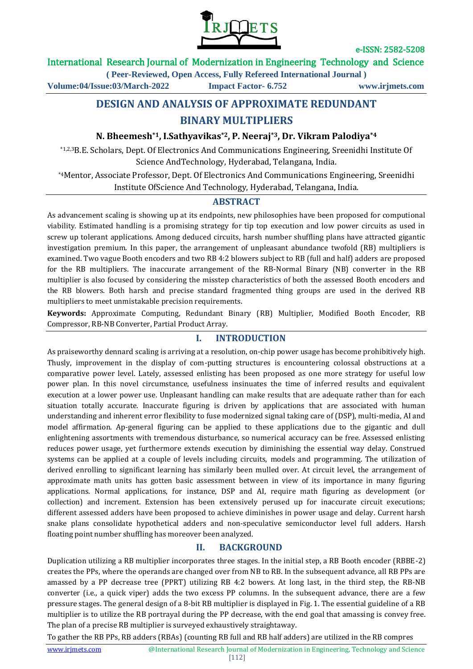

### International Research Journal of Modernization in Engineering Technology and Science

**( Peer-Reviewed, Open Access, Fully Refereed International Journal )**

**Volume:04/Issue:03/March-2022 Impact Factor- 6.752 www.irjmets.com**

# **DESIGN AND ANALYSIS OF APPROXIMATE REDUNDANT BINARY MULTIPLIERS**

### **N. Bheemesh\*1, I.Sathyavikas\*2, P. Neeraj\*3, Dr. Vikram Palodiya\*4**

\*1,2,3B.E. Scholars, Dept. Of Electronics And Communications Engineering, Sreenidhi Institute Of Science AndTechnology, Hyderabad, Telangana, India.

\*4Mentor, Associate Professor, Dept. Of Electronics And Communications Engineering, Sreenidhi Institute OfScience And Technology, Hyderabad, Telangana, India.

#### **ABSTRACT**

As advancement scaling is showing up at its endpoints, new philosophies have been proposed for computional viability. Estimated handling is a promising strategy for tip top execution and low power circuits as used in screw up tolerant applications. Among deduced circuits, harsh number shuffling plans have attracted gigantic investigation premium. In this paper, the arrangement of unpleasant abundance twofold (RB) multipliers is examined. Two vague Booth encoders and two RB 4:2 blowers subject to RB (full and half) adders are proposed for the RB multipliers. The inaccurate arrangement of the RB-Normal Binary (NB) converter in the RB multiplier is also focused by considering the misstep characteristics of both the assessed Booth encoders and the RB blowers. Both harsh and precise standard fragmented thing groups are used in the derived RB multipliers to meet unmistakable precision requirements.

**Keywords:** Approximate Computing, Redundant Binary (RB) Multiplier, Modified Booth Encoder, RB Compressor, RB-NB Converter, Partial Product Array.

## **I. INTRODUCTION**

As praiseworthy dennard scaling is arriving at a resolution, on-chip power usage has become prohibitively high. Thusly, improvement in the display of com-putting structures is encountering colossal obstructions at a comparative power level. Lately, assessed enlisting has been proposed as one more strategy for useful low power plan. In this novel circumstance, usefulness insinuates the time of inferred results and equivalent execution at a lower power use. Unpleasant handling can make results that are adequate rather than for each situation totally accurate. Inaccurate figuring is driven by applications that are associated with human understanding and inherent error flexibility to fuse modernized signal taking care of (DSP), multi-media, AI and model affirmation. Ap-general figuring can be applied to these applications due to the gigantic and dull enlightening assortments with tremendous disturbance, so numerical accuracy can be free. Assessed enlisting reduces power usage, yet furthermore extends execution by diminishing the essential way delay. Construed systems can be applied at a couple of levels including circuits, models and programming. The utilization of derived enrolling to significant learning has similarly been mulled over. At circuit level, the arrangement of approximate math units has gotten basic assessment between in view of its importance in many figuring applications. Normal applications, for instance, DSP and AI, require math figuring as development (or collection) and increment. Extension has been extensively perused up for inaccurate circuit executions; different assessed adders have been proposed to achieve diminishes in power usage and delay. Current harsh snake plans consolidate hypothetical adders and non-speculative semiconductor level full adders. Harsh floating point number shuffling has moreover been analyzed.

### **II. BACKGROUND**

Duplication utilizing a RB multiplier incorporates three stages. In the initial step, a RB Booth encoder (RBBE-2) creates the PPs, where the operands are changed over from NB to RB. In the subsequent advance, all RB PPs are amassed by a PP decrease tree (PPRT) utilizing RB 4:2 bowers. At long last, in the third step, the RB-NB converter (i.e., a quick viper) adds the two excess PP columns. In the subsequent advance, there are a few pressure stages. The general design of a 8-bit RB multiplier is displayed in Fig. 1. The essential guideline of a RB multiplier is to utilize the RB portrayal during the PP decrease, with the end goal that amassing is convey free. The plan of a precise RB multiplier is surveyed exhaustively straightaway.

To gather the RB PPs, RB adders (RBAs) (counting RB full and RB half adders) are utilized in the RB compres

[112]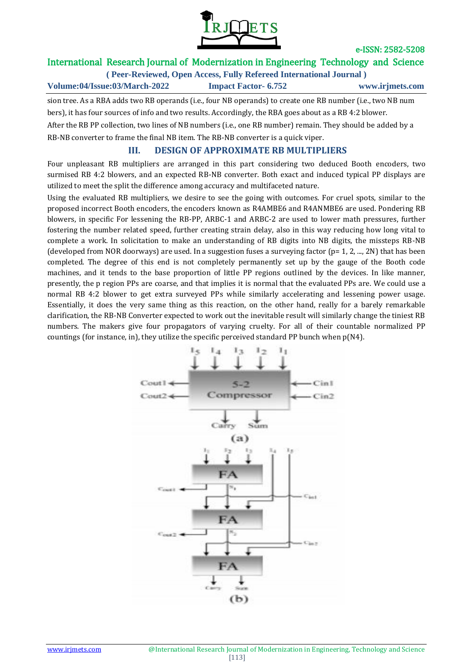

## International Research Journal of Modernization in Engineering Technology and Science

**( Peer-Reviewed, Open Access, Fully Refereed International Journal )**

**Volume:04/Issue:03/March-2022 Impact Factor- 6.752 www.irjmets.com**

sion tree. As a RBA adds two RB operands (i.e., four NB operands) to create one RB number (i.e., two NB num bers), it has four sources of info and two results. Accordingly, the RBA goes about as a RB 4:2 blower. After the RB PP collection, two lines of NB numbers (i.e., one RB number) remain. They should be added by a RB-NB converter to frame the final NB item. The RB-NB converter is a quick viper.

## **III. DESIGN OF APPROXIMATE RB MULTIPLIERS**

Four unpleasant RB multipliers are arranged in this part considering two deduced Booth encoders, two surmised RB 4:2 blowers, and an expected RB-NB converter. Both exact and induced typical PP displays are utilized to meet the split the difference among accuracy and multifaceted nature.

Using the evaluated RB multipliers, we desire to see the going with outcomes. For cruel spots, similar to the proposed incorrect Booth encoders, the encoders known as R4AMBE6 and R4ANMBE6 are used. Pondering RB blowers, in specific For lessening the RB-PP, ARBC-1 and ARBC-2 are used to lower math pressures, further fostering the number related speed, further creating strain delay, also in this way reducing how long vital to complete a work. In solicitation to make an understanding of RB digits into NB digits, the missteps RB-NB (developed from NOR doorways) are used. In a suggestion fuses a surveying factor ( $p= 1, 2, ..., 2N$ ) that has been completed. The degree of this end is not completely permanently set up by the gauge of the Booth code machines, and it tends to the base proportion of little PP regions outlined by the devices. In like manner, presently, the p region PPs are coarse, and that implies it is normal that the evaluated PPs are. We could use a normal RB 4:2 blower to get extra surveyed PPs while similarly accelerating and lessening power usage. Essentially, it does the very same thing as this reaction, on the other hand, really for a barely remarkable clarification, the RB-NB Converter expected to work out the inevitable result will similarly change the tiniest RB numbers. The makers give four propagators of varying cruelty. For all of their countable normalized PP countings (for instance, in), they utilize the specific perceived standard PP bunch when p(N4).

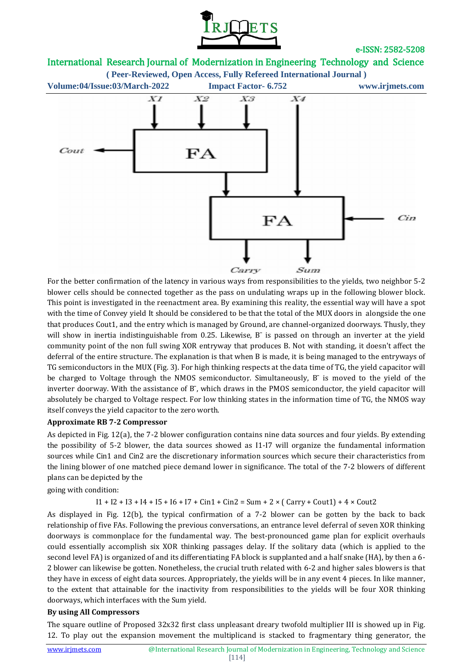



For the better confirmation of the latency in various ways from responsibilities to the yields, two neighbor 5-2 blower cells should be connected together as the pass on undulating wraps up in the following blower block. This point is investigated in the reenactment area. By examining this reality, the essential way will have a spot with the time of Convey yield It should be considered to be that the total of the MUX doors in alongside the one that produces Cout1, and the entry which is managed by Ground, are channel-organized doorways. Thusly, they will show in inertia indistinguishable from 0.25. Likewise, B<sup>-</sup> is passed on through an inverter at the yield community point of the non full swing XOR entryway that produces B. Not with standing, it doesn't affect the deferral of the entire structure. The explanation is that when B is made, it is being managed to the entryways of TG semiconductors in the MUX (Fig. 3). For high thinking respects at the data time of TG, the yield capacitor will be charged to Voltage through the NMOS semiconductor. Simultaneously, B<sup>-</sup> is moved to the yield of the inverter doorway. With the assistance of B<sup>-</sup>, which draws in the PMOS semiconductor, the yield capacitor will absolutely be charged to Voltage respect. For low thinking states in the information time of TG, the NMOS way itself conveys the yield capacitor to the zero worth.

#### **Approximate RB 7-2 Compressor**

As depicted in Fig. 12(a), the 7-2 blower configuration contains nine data sources and four yields. By extending the possibility of 5-2 blower, the data sources showed as I1-I7 will organize the fundamental information sources while Cin1 and Cin2 are the discretionary information sources which secure their characteristics from the lining blower of one matched piece demand lower in significance. The total of the 7-2 blowers of different plans can be depicted by the

going with condition:

 $I1 + I2 + I3 + I4 + I5 + I6 + I7 + Cin1 + Cin2 = Sum + 2 \times (Carry + Cout1) + 4 \times Cout2$ 

As displayed in Fig. 12(b), the typical confirmation of a 7-2 blower can be gotten by the back to back relationship of five FAs. Following the previous conversations, an entrance level deferral of seven XOR thinking doorways is commonplace for the fundamental way. The best-pronounced game plan for explicit overhauls could essentially accomplish six XOR thinking passages delay. If the solitary data (which is applied to the second level FA) is organized of and its differentiating FA block is supplanted and a half snake (HA), by then a 6- 2 blower can likewise be gotten. Nonetheless, the crucial truth related with 6-2 and higher sales blowers is that they have in excess of eight data sources. Appropriately, the yields will be in any event 4 pieces. In like manner, to the extent that attainable for the inactivity from responsibilities to the yields will be four XOR thinking doorways, which interfaces with the Sum yield.

#### **By using All Compressors**

The square outline of Proposed 32x32 first class unpleasant dreary twofold multiplier III is showed up in Fig. 12. To play out the expansion movement the multiplicand is stacked to fragmentary thing generator, the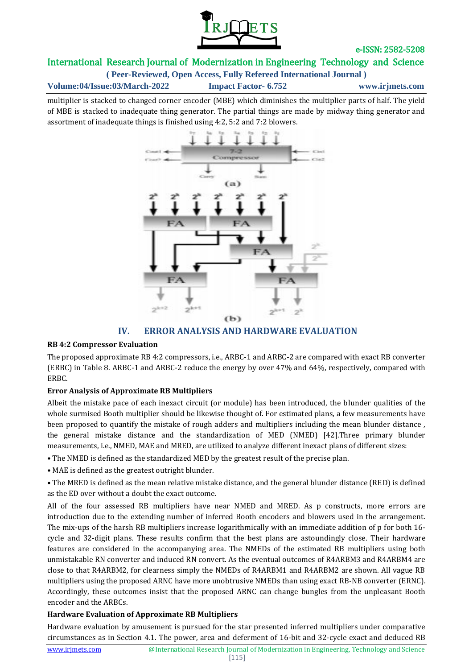

# International Research Journal of Modernization in Engineering Technology and Science

**( Peer-Reviewed, Open Access, Fully Refereed International Journal )**

**Volume:04/Issue:03/March-2022 Impact Factor- 6.752 www.irjmets.com**

multiplier is stacked to changed corner encoder (MBE) which diminishes the multiplier parts of half. The yield of MBE is stacked to inadequate thing generator. The partial things are made by midway thing generator and assortment of inadequate things is finished using 4:2, 5:2 and 7:2 blowers.



# **IV. ERROR ANALYSIS AND HARDWARE EVALUATION**

### **RB 4:2 Compressor Evaluation**

The proposed approximate RB 4:2 compressors, i.e., ARBC-1 and ARBC-2 are compared with exact RB converter (ERBC) in Table 8. ARBC-1 and ARBC-2 reduce the energy by over 47% and 64%, respectively, compared with ERBC.

### **Error Analysis of Approximate RB Multipliers**

Albeit the mistake pace of each inexact circuit (or module) has been introduced, the blunder qualities of the whole surmised Booth multiplier should be likewise thought of. For estimated plans, a few measurements have been proposed to quantify the mistake of rough adders and multipliers including the mean blunder distance , the general mistake distance and the standardization of MED (NMED) [42].Three primary blunder measurements, i.e., NMED, MAE and MRED, are utilized to analyze different inexact plans of different sizes:

- The NMED is defined as the standardized MED by the greatest result of the precise plan.
- MAE is defined as the greatest outright blunder.
- The MRED is defined as the mean relative mistake distance, and the general blunder distance (RED) is defined as the ED over without a doubt the exact outcome.

All of the four assessed RB multipliers have near NMED and MRED. As p constructs, more errors are introduction due to the extending number of inferred Booth encoders and blowers used in the arrangement. The mix-ups of the harsh RB multipliers increase logarithmically with an immediate addition of p for both 16 cycle and 32-digit plans. These results confirm that the best plans are astoundingly close. Their hardware features are considered in the accompanying area. The NMEDs of the estimated RB multipliers using both unmistakable RN converter and induced RN convert. As the eventual outcomes of R4ARBM3 and R4ARBM4 are close to that R4ARBM2, for clearness simply the NMEDs of R4ARBM1 and R4ARBM2 are shown. All vague RB multipliers using the proposed ARNC have more unobtrusive NMEDs than using exact RB-NB converter (ERNC). Accordingly, these outcomes insist that the proposed ARNC can change bungles from the unpleasant Booth encoder and the ARBCs.

### **Hardware Evaluation of Approximate RB Multipliers**

Hardware evaluation by amusement is pursued for the star presented inferred multipliers under comparative circumstances as in Section 4.1. The power, area and deferment of 16-bit and 32-cycle exact and deduced RB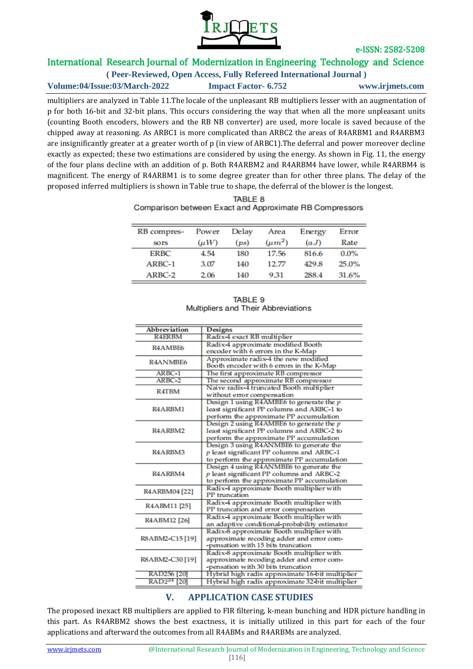

# International Research Journal of Modernization in Engineering Technology and Science

**( Peer-Reviewed, Open Access, Fully Refereed International Journal )**

**Volume:04/Issue:03/March-2022 Impact Factor- 6.752 www.irjmets.com**

multipliers are analyzed in Table 11.The locale of the unpleasant RB multipliers lesser with an augmentation of p for both 16-bit and 32-bit plans. This occurs considering the way that when all the more unpleasant units (counting Booth encoders, blowers and the RB NB converter) are used, more locale is saved because of the chipped away at reasoning. As ARBC1 is more complicated than ARBC2 the areas of R4ARBM1 and R4ARBM3 are insignificantly greater at a greater worth of p (in view of ARBC1).The deferral and power moreover decline exactly as expected; these two estimations are considered by using the energy. As shown in Fig. 11, the energy of the four plans decline with an addition of p. Both R4ARBM2 and R4ARBM4 have lower, while R4ARBM4 is magnificent. The energy of R4ARBM1 is to some degree greater than for other three plans. The delay of the proposed inferred multipliers is shown in Table true to shape, the deferral of the blower is the longest.

| <b>TABLE 8</b>                                          |  |  |  |  |
|---------------------------------------------------------|--|--|--|--|
| Comparison between Exact and Approximate RB Compressors |  |  |  |  |

| RB compres-<br><b>SOTS</b> | Power<br>$(\mu W)$ | Delay<br>(ps) | Area<br>$(\mu m^2)$ | Energy<br>(aJ) | Error<br>Rate |
|----------------------------|--------------------|---------------|---------------------|----------------|---------------|
| <b>ERBC</b>                | 4.54               | 180           | 17.56               | 816.6          | $0.0\%$       |
| ARBC-1                     | 3.07               | 140           | 12.77               | 429.8          | 25.0%         |
| $ARBC-2$                   | 2.06               | 140           | 9.31                | 288.4          | 31.6%         |

| TABLE 9 |                                            |  |  |  |
|---------|--------------------------------------------|--|--|--|
|         | <b>Multipliers and Their Abbreviations</b> |  |  |  |

| <b>Abbreviation</b>              | <b>Designs</b>                                  |
|----------------------------------|-------------------------------------------------|
| <b>R4ERBM</b>                    | Radix-4 exact RB multiplier                     |
| R <sub>4</sub> AMB <sub>E6</sub> | Radix-4 approximate modified Booth              |
|                                  | encoder with 6 errors in the K-Map              |
| R4ANMBE6                         | Approximate radix-4 the new modified            |
|                                  | Booth encoder with 6 errors in the K-Map        |
| ARBC-1                           | The first approximate RB compressor             |
| ARBC-2                           | The second approximate RB compressor            |
| R4TBM                            | Naive radix-4 truncated Booth multiplier        |
|                                  | without error compensation                      |
|                                  | Design 1 using R4AMBE6 to generate the $p$      |
| R4ARBM1                          | least significant PP columns and ARBC-1 to      |
|                                  | perform the approximate PP accumulation         |
|                                  | Design 2 using R4AMBE6 to generate the p        |
| R <sub>4</sub> ARBM <sub>2</sub> | least significant PP columns and ARBC-2 to      |
|                                  | perform the approximate PP accumulation         |
|                                  | Design 3 using R4ANMBE6 to generate the         |
| R <sub>4</sub> ARBM <sub>3</sub> | p least significant PP columns and ARBC-1       |
|                                  | to perform the approximate PP accumulation      |
|                                  | Design 4 using R4ANMBE6 to generate the         |
| R <sub>4</sub> ARBM <sub>4</sub> | p least significant PP columns and ARBC-2       |
|                                  | to perform the approximate PP accumulation      |
|                                  | Radix-4 approximate Booth multiplier with       |
| R4ARBM04[22]                     | PP truncation                                   |
|                                  | Radix-4 approximate Booth multiplier with       |
| R4ABM11 [25]                     | PP truncation and error compensation            |
|                                  | Radix-4 approximate Booth multiplier with       |
| R4ABM12 [26]                     | an adaptive conditional-probability estimator   |
|                                  | Radix-8 approximate Booth multiplier with       |
| R8ABM2-C15 [19]                  | approximate recoding adder and error com-       |
|                                  | -pensation with 15 bits truncation              |
|                                  | Radix-8 approximate Booth multiplier with       |
| R8ABM2-C30 [19]                  | approximate recoding adder and error com-       |
|                                  | -pensation with 30 bits truncation              |
| RAD256 [20]                      | Hybrid high radix approximate 16-bit multiplier |
| RAD2 <sup>24</sup> [20]          | Hybrid high radix approximate 32-bit multiplier |
|                                  |                                                 |

# **V. APPLICATION CASE STUDIES**

The proposed inexact RB multipliers are applied to FIR filtering, k-mean bunching and HDR picture handling in this part. As R4ARBM2 shows the best exactness, it is initially utilized in this part for each of the four applications and afterward the outcomes from all R4ABMs and R4ARBMs are analyzed.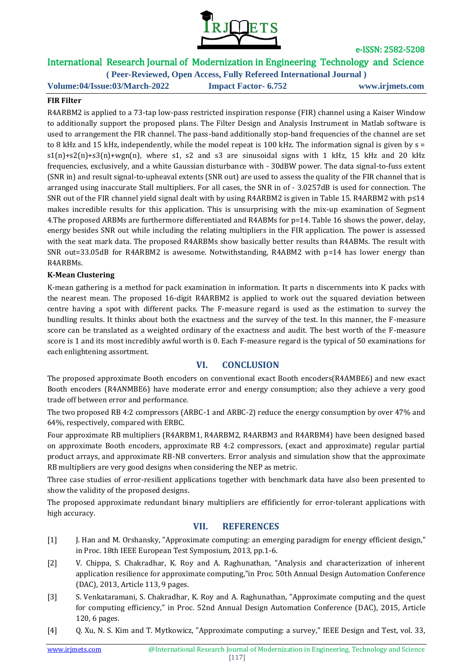

# International Research Journal of Modernization in Engineering Technology and Science

**( Peer-Reviewed, Open Access, Fully Refereed International Journal ) Volume:04/Issue:03/March-2022 Impact Factor- 6.752 www.irjmets.com**

#### **FIR Filter**

R4ARBM2 is applied to a 73-tap low-pass restricted inspiration response (FIR) channel using a Kaiser Window to additionally support the proposed plans. The Filter Design and Analysis Instrument in Matlab software is used to arrangement the FIR channel. The pass-band additionally stop-band frequencies of the channel are set to 8 kHz and 15 kHz, independently, while the model repeat is 100 kHz. The information signal is given by  $s =$  $s1(n)+s2(n)+s3(n)+wgn(n)$ , where s1, s2 and s3 are sinusoidal signs with 1 kHz, 15 kHz and 20 kHz frequencies, exclusively, and a white Gaussian disturbance with - 30dBW power. The data signal-to-fuss extent (SNR in) and result signal-to-upheaval extents (SNR out) are used to assess the quality of the FIR channel that is arranged using inaccurate Stall multipliers. For all cases, the SNR in of - 3.0257dB is used for connection. The SNR out of the FIR channel yield signal dealt with by using R4ARBM2 is given in Table 15. R4ARBM2 with p≤14 makes incredible results for this application. This is unsurprising with the mix-up examination of Segment 4.The proposed ARBMs are furthermore differentiated and R4ABMs for p=14. Table 16 shows the power, delay, energy besides SNR out while including the relating multipliers in the FIR application. The power is assessed with the seat mark data. The proposed R4ARBMs show basically better results than R4ABMs. The result with SNR out=33.05dB for R4ARBM2 is awesome. Notwithstanding, R4ABM2 with p=14 has lower energy than R4ARBMs.

#### **K-Mean Clustering**

K-mean gathering is a method for pack examination in information. It parts n discernments into K packs with the nearest mean. The proposed 16-digit R4ARBM2 is applied to work out the squared deviation between centre having a spot with different packs. The F-measure regard is used as the estimation to survey the bundling results. It thinks about both the exactness and the survey of the test. In this manner, the F-measure score can be translated as a weighted ordinary of the exactness and audit. The best worth of the F-measure score is 1 and its most incredibly awful worth is 0. Each F-measure regard is the typical of 50 examinations for each enlightening assortment.

### **VI. CONCLUSION**

The proposed approximate Booth encoders on conventional exact Booth encoders(R4AMBE6) and new exact Booth encoders (R4ANMBE6) have moderate error and energy consumption; also they achieve a very good trade off between error and performance.

The two proposed RB 4:2 compressors (ARBC-1 and ARBC-2) reduce the energy consumption by over 47% and 64%, respectively, compared with ERBC.

Four approximate RB multipliers (R4ARBM1, R4ARBM2, R4ARBM3 and R4ARBM4) have been designed based on approximate Booth encoders, approximate RB 4:2 compressors, (exact and approximate) regular partial product arrays, and approximate RB-NB converters. Error analysis and simulation show that the approximate RB multipliers are very good designs when considering the NEP as metric.

Three case studies of error-resilient applications together with benchmark data have also been presented to show the validity of the proposed designs.

The proposed approximate redundant binary multipliers are effificiently for error-tolerant applications with high accuracy.

# **VII. REFERENCES**

- [1] J. Han and M. Orshansky, "Approximate computing: an emerging paradigm for energy efficient design," in Proc. 18th IEEE European Test Symposium, 2013, pp.1-6.
- [2] V. Chippa, S. Chakradhar, K. Roy and A. Raghunathan, "Analysis and characterization of inherent application resilience for approximate computing,"in Proc. 50th Annual Design Automation Conference (DAC), 2013, Article 113, 9 pages.
- [3] S. Venkataramani, S. Chakradhar, K. Roy and A. Raghunathan, "Approximate computing and the quest for computing efficiency," in Proc. 52nd Annual Design Automation Conference (DAC), 2015, Article 120, 6 pages.
- [4] Q. Xu, N. S. Kim and T. Mytkowicz, "Approximate computing: a survey," IEEE Design and Test, vol. 33,